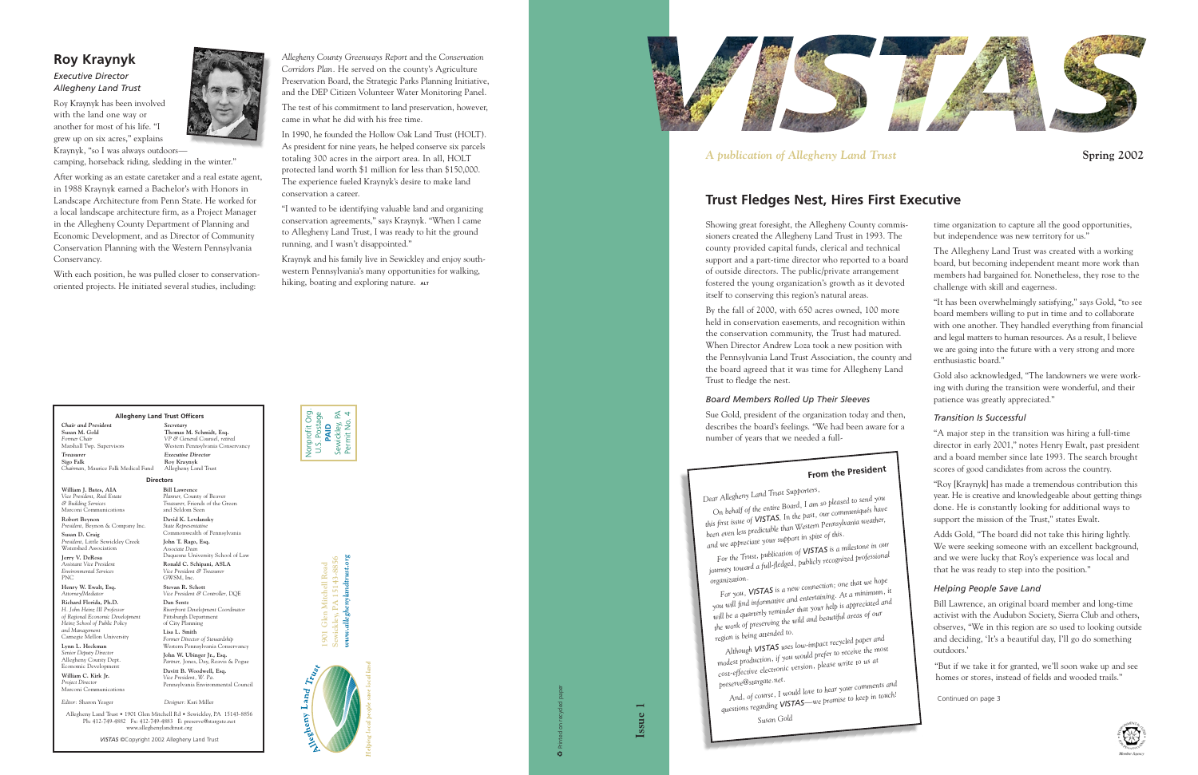Continued on page 3



Showing great foresight, the Allegheny County commissioners created the Allegheny Land Trust in 1993. The county provided capital funds, clerical and technical support and a part-time director who reported to a board of outside directors. The public/private arrangement fostered the young organization's growth as it devoted itself to conserving this region's natural areas.

By the fall of 2000, with 650 acres owned, 100 more held in conservation easements, and recognition within the conservation community, the Trust had matured. When Director Andrew Loza took a new position with the Pennsylvania Land Trust Association, the county and the board agreed that it was time for Allegheny Land Trust to fledge the nest.

### *Board Members Rolled Up Their Sleeves*

Sue Gold, president of the organization today and then, describes the board's feelings. "We had been aware for a number of years that we needed a full-

time organization to capture all the good opportunities, but independence was new territory for us."

The Allegheny Land Trust was created with a working board, but becoming independent meant more work than members had bargained for. Nonetheless, they rose to the challenge with skill and eagerness.

"It has been overwhelmingly satisfying," says Gold, "to see board members willing to put in time and to collaborate with one another. They handled everything from financial and legal matters to human resources. As a result, I believe we are going into the future with a very strong and more enthusiastic board."

Gold also acknowledged, "The landowners we were work ing with during the transition were wonderful, and their patience was greatly appreciated."

### *Transition Is Successful*

"A major step in the transition was hiring a full-time director in early 2001," notes Henry Ewalt, past president and a board member since late 1993. The search brought scores of good candidates from across the country.

modest production, 9 you are<br>
cost-effective electronic version, please write to us at<br>
preserve@stargate.net.<br> *And, of course, I would love to hear your comments and*<br>
questions regarding *VISTAS—we promise to keep in t —we promise to keep in touch! Susan Gold*

"Roy [Kraynyk] has made a tremendous contribution this year. He is creative and knowledgeable about getting things done. He is constantly looking for additional ways to support the mission of the Trust," states Ewalt.

Adds Gold, "The board did not take this hiring lightly. We were seeking someone with an excellent background, and we were lucky that Roy's experience was local and that he was ready to step into the position."

### *Helping People Save Land*

Bill Lawrence, an original board member and long-time activist with the Audubon Society, Sierra Club and others, observes, "We in this region are so used to looking outside and deciding, 'It's a beautiful day, I'll go do something outdoors.'

"But if we take it for granted, we'll soon wake up and see homes or stores, instead of fields and wooded trails."

Kraynyk and his family live in Sewickley and enjoy southwestern Pennsylvania's many opportunities for walking, hiking, boating and exploring nature. ALT

## **Trust Fledges Nest, Hires First Executive**

**Issue 1**

**3** Printed on recycled paper

## **From the President**

*Dear Allegheny Land Trust Supporters, On behalf of the entire Board, I am so pleased to send you this first issue of VISTAS. In the past, our communiqués have been even less predictable than Western Pennsylvania weather, and we appreciate your support in spite of this.*

*For the Trust, publication of VISTAS is a milestone in our journey toward a full-fledged, publicly recognized professional*

organization.<br>For you, **VISTAS** is a new connection; one that we hope<br>you will find informative and entertaining. At a minimum, it *For you, VISTAS is a new connection; one that we hope* will be a quarterly reminder that your help is appreciated and<br>the work of preserving the wild and beautiful areas of our<br>region is being attended to.<br>Although **VISTAS** uses low-impact recycled paper and

*Although VISTAS uses low-impact recycled paper and modest production, if you would prefer to receive the most*

Allegheny Land Trust • 1901 Glen Mitchell Rd • Sewickley, PA 15143-8856 Ph: 412-749-4882 Fx: 412-749-4883 E: preserve@stargate.net wland<del>t</del>r

## **Roy Kraynyk**

*Executive Director Allegheny Land Trust*

Roy Kraynyk has been involved with the land one way or another for most of his life. "I grew up on six acres," explains Kraynyk, "so I was always outdoors—

camping, horseback riding, sledding in the winter."

After working as an estate caretaker and a real estate agent, in 1988 Kraynyk earned a Bachelor's with Honors in Landscape Architecture from Penn State. He worked for a local landscape architecture firm, as a Project Manager in the Allegheny County Department of Planning and Economic Development, and as Director of Community Conservation Planning with the Western Pennsylvania Conservancy.

With each position, he was pulled closer to conservationoriented projects. He initiated several studies, including:



*Allegheny County Greenways Report* and the *Conservation Corridors Plan.* He served on the county's Agriculture Preservation Board, the Strategic Parks Planning Initiative, and the DEP Citizen Volunteer Water Monitoring Panel.

The test of his commitment to land preservation, however, came in what he did with his free time.

In 1990, he founded the Hollow Oak Land Trust (HOLT). As president for nine years, he helped conserve six parcels totaling 300 acres in the airport area. In all, HOLT protected land worth \$1 million for less than \$150,000. The experience fueled Kraynyk's desire to make land conservation a career.

"I wanted to be identifying valuable land and organizing conservation agreements," says Kraynyk. "When I came to Allegheny Land Trust, I was ready to hit the ground running, and I wasn't disappointed."

> **1901 Glen Mitchell Road Sewickley, PA 15143-8856** *www.alleghenylandtrust.org*





*A publication of Allegheny Land Trust* **Spring 2002 Spring 2002** 





*VISTAS* ©Copyright 2002 Allegheny Land Trust